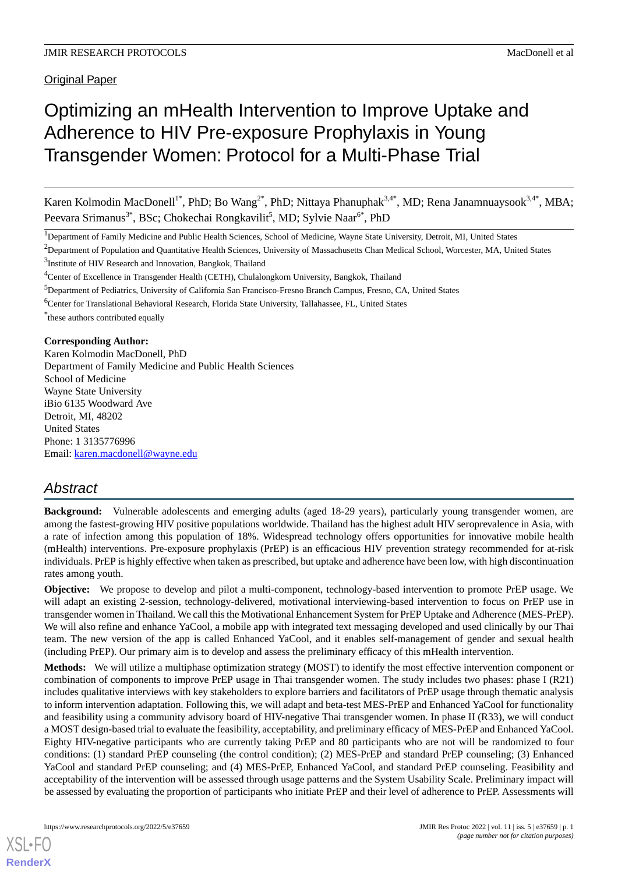**Original Paper** 

# Optimizing an mHealth Intervention to Improve Uptake and Adherence to HIV Pre-exposure Prophylaxis in Young Transgender Women: Protocol for a Multi-Phase Trial

Karen Kolmodin MacDonell<sup>1\*</sup>, PhD; Bo Wang<sup>2\*</sup>, PhD; Nittaya Phanuphak<sup>3,4\*</sup>, MD; Rena Janamnuaysook<sup>3,4\*</sup>, MBA; Peevara Srimanus<sup>3\*</sup>, BSc; Chokechai Rongkavilit<sup>5</sup>, MD; Sylvie Naar<sup>6\*</sup>, PhD

<sup>1</sup>Department of Family Medicine and Public Health Sciences, School of Medicine, Wayne State University, Detroit, MI, United States

<sup>5</sup>Department of Pediatrics, University of California San Francisco-Fresno Branch Campus, Fresno, CA, United States

\* these authors contributed equally

## **Corresponding Author:**

Karen Kolmodin MacDonell, PhD Department of Family Medicine and Public Health Sciences School of Medicine Wayne State University iBio 6135 Woodward Ave Detroit, MI, 48202 United States Phone: 1 3135776996 Email: [karen.macdonell@wayne.edu](mailto:karen.macdonell@wayne.edu)

## *Abstract*

**Background:** Vulnerable adolescents and emerging adults (aged 18-29 years), particularly young transgender women, are among the fastest-growing HIV positive populations worldwide. Thailand has the highest adult HIV seroprevalence in Asia, with a rate of infection among this population of 18%. Widespread technology offers opportunities for innovative mobile health (mHealth) interventions. Pre-exposure prophylaxis (PrEP) is an efficacious HIV prevention strategy recommended for at-risk individuals. PrEP is highly effective when taken as prescribed, but uptake and adherence have been low, with high discontinuation rates among youth.

**Objective:** We propose to develop and pilot a multi-component, technology-based intervention to promote PrEP usage. We will adapt an existing 2-session, technology-delivered, motivational interviewing-based intervention to focus on PrEP use in transgender women in Thailand. We call this the Motivational Enhancement System for PrEP Uptake and Adherence (MES-PrEP). We will also refine and enhance YaCool, a mobile app with integrated text messaging developed and used clinically by our Thai team. The new version of the app is called Enhanced YaCool, and it enables self-management of gender and sexual health (including PrEP). Our primary aim is to develop and assess the preliminary efficacy of this mHealth intervention.

**Methods:** We will utilize a multiphase optimization strategy (MOST) to identify the most effective intervention component or combination of components to improve PrEP usage in Thai transgender women. The study includes two phases: phase I (R21) includes qualitative interviews with key stakeholders to explore barriers and facilitators of PrEP usage through thematic analysis to inform intervention adaptation. Following this, we will adapt and beta-test MES-PrEP and Enhanced YaCool for functionality and feasibility using a community advisory board of HIV-negative Thai transgender women. In phase II (R33), we will conduct a MOST design-based trial to evaluate the feasibility, acceptability, and preliminary efficacy of MES-PrEP and Enhanced YaCool. Eighty HIV-negative participants who are currently taking PrEP and 80 participants who are not will be randomized to four conditions: (1) standard PrEP counseling (the control condition); (2) MES-PrEP and standard PrEP counseling; (3) Enhanced YaCool and standard PrEP counseling; and (4) MES-PrEP, Enhanced YaCool, and standard PrEP counseling. Feasibility and acceptability of the intervention will be assessed through usage patterns and the System Usability Scale. Preliminary impact will be assessed by evaluating the proportion of participants who initiate PrEP and their level of adherence to PrEP. Assessments will

<sup>&</sup>lt;sup>2</sup>Department of Population and Quantitative Health Sciences, University of Massachusetts Chan Medical School, Worcester, MA, United States <sup>3</sup>Institute of HIV Research and Innovation, Bangkok, Thailand

<sup>&</sup>lt;sup>4</sup>Center of Excellence in Transgender Health (CETH), Chulalongkorn University, Bangkok, Thailand

<sup>6</sup>Center for Translational Behavioral Research, Florida State University, Tallahassee, FL, United States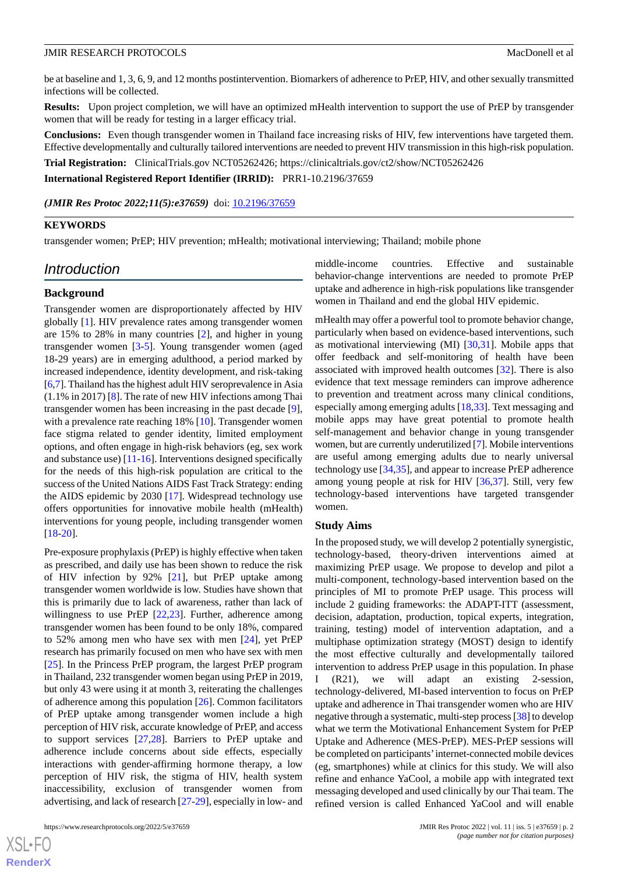be at baseline and 1, 3, 6, 9, and 12 months postintervention. Biomarkers of adherence to PrEP, HIV, and other sexually transmitted infections will be collected.

**Results:** Upon project completion, we will have an optimized mHealth intervention to support the use of PrEP by transgender women that will be ready for testing in a larger efficacy trial.

**Conclusions:** Even though transgender women in Thailand face increasing risks of HIV, few interventions have targeted them. Effective developmentally and culturally tailored interventions are needed to prevent HIV transmission in this high-risk population.

**Trial Registration:** ClinicalTrials.gov NCT05262426; https://clinicaltrials.gov/ct2/show/NCT05262426

**International Registered Report Identifier (IRRID):** PRR1-10.2196/37659

(JMIR Res Protoc 2022;11(5):e37659) doi: [10.2196/37659](http://dx.doi.org/10.2196/37659)

#### **KEYWORDS**

transgender women; PrEP; HIV prevention; mHealth; motivational interviewing; Thailand; mobile phone

## *Introduction*

#### **Background**

Transgender women are disproportionately affected by HIV globally [\[1](#page-7-0)]. HIV prevalence rates among transgender women are 15% to 28% in many countries [[2\]](#page-7-1), and higher in young transgender women [[3-](#page-7-2)[5\]](#page-7-3). Young transgender women (aged 18-29 years) are in emerging adulthood, a period marked by increased independence, identity development, and risk-taking [[6,](#page-7-4)[7](#page-7-5)]. Thailand has the highest adult HIV seroprevalence in Asia (1.1% in 2017) [\[8](#page-7-6)]. The rate of new HIV infections among Thai transgender women has been increasing in the past decade [[9\]](#page-7-7), with a prevalence rate reaching 18% [\[10](#page-7-8)]. Transgender women face stigma related to gender identity, limited employment options, and often engage in high-risk behaviors (eg, sex work and substance use) [\[11](#page-7-9)-[16\]](#page-8-0). Interventions designed specifically for the needs of this high-risk population are critical to the success of the United Nations AIDS Fast Track Strategy: ending the AIDS epidemic by 2030 [\[17](#page-8-1)]. Widespread technology use offers opportunities for innovative mobile health (mHealth) interventions for young people, including transgender women [[18](#page-8-2)[-20](#page-8-3)].

Pre-exposure prophylaxis (PrEP) is highly effective when taken as prescribed, and daily use has been shown to reduce the risk of HIV infection by 92% [\[21](#page-8-4)], but PrEP uptake among transgender women worldwide is low. Studies have shown that this is primarily due to lack of awareness, rather than lack of willingness to use PrEP [[22](#page-8-5)[,23](#page-8-6)]. Further, adherence among transgender women has been found to be only 18%, compared to 52% among men who have sex with men [\[24](#page-8-7)], yet PrEP research has primarily focused on men who have sex with men [[25\]](#page-8-8). In the Princess PrEP program, the largest PrEP program in Thailand, 232 transgender women began using PrEP in 2019, but only 43 were using it at month 3, reiterating the challenges of adherence among this population [\[26](#page-8-9)]. Common facilitators of PrEP uptake among transgender women include a high perception of HIV risk, accurate knowledge of PrEP, and access to support services [\[27](#page-8-10),[28\]](#page-8-11). Barriers to PrEP uptake and adherence include concerns about side effects, especially interactions with gender-affirming hormone therapy, a low perception of HIV risk, the stigma of HIV, health system inaccessibility, exclusion of transgender women from advertising, and lack of research [[27-](#page-8-10)[29](#page-8-12)], especially in low- and

 $X$ SL•FO **[RenderX](http://www.renderx.com/)** middle-income countries. Effective and sustainable behavior-change interventions are needed to promote PrEP uptake and adherence in high-risk populations like transgender women in Thailand and end the global HIV epidemic.

mHealth may offer a powerful tool to promote behavior change, particularly when based on evidence-based interventions, such as motivational interviewing (MI) [\[30](#page-8-13),[31\]](#page-8-14). Mobile apps that offer feedback and self-monitoring of health have been associated with improved health outcomes [[32\]](#page-8-15). There is also evidence that text message reminders can improve adherence to prevention and treatment across many clinical conditions, especially among emerging adults [\[18](#page-8-2)[,33](#page-8-16)]. Text messaging and mobile apps may have great potential to promote health self-management and behavior change in young transgender women, but are currently underutilized [\[7\]](#page-7-5). Mobile interventions are useful among emerging adults due to nearly universal technology use [[34,](#page-8-17)[35\]](#page-9-0), and appear to increase PrEP adherence among young people at risk for HIV [\[36](#page-9-1),[37\]](#page-9-2). Still, very few technology-based interventions have targeted transgender women.

#### **Study Aims**

In the proposed study, we will develop 2 potentially synergistic, technology-based, theory-driven interventions aimed at maximizing PrEP usage. We propose to develop and pilot a multi-component, technology-based intervention based on the principles of MI to promote PrEP usage. This process will include 2 guiding frameworks: the ADAPT-ITT (assessment, decision, adaptation, production, topical experts, integration, training, testing) model of intervention adaptation, and a multiphase optimization strategy (MOST) design to identify the most effective culturally and developmentally tailored intervention to address PrEP usage in this population. In phase I (R21), we will adapt an existing 2-session, technology-delivered, MI-based intervention to focus on PrEP uptake and adherence in Thai transgender women who are HIV negative through a systematic, multi-step process [[38\]](#page-9-3) to develop what we term the Motivational Enhancement System for PrEP Uptake and Adherence (MES-PrEP). MES-PrEP sessions will be completed on participants'internet-connected mobile devices (eg, smartphones) while at clinics for this study. We will also refine and enhance YaCool, a mobile app with integrated text messaging developed and used clinically by our Thai team. The refined version is called Enhanced YaCool and will enable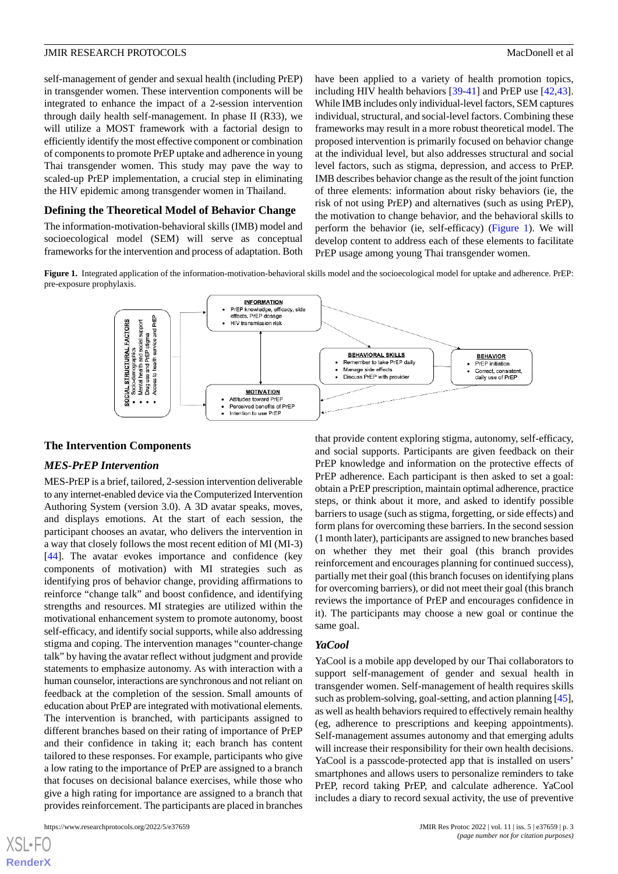self-management of gender and sexual health (including PrEP) in transgender women. These intervention components will be integrated to enhance the impact of a 2-session intervention through daily health self-management. In phase II (R33), we will utilize a MOST framework with a factorial design to efficiently identify the most effective component or combination of components to promote PrEP uptake and adherence in young Thai transgender women. This study may pave the way to scaled-up PrEP implementation, a crucial step in eliminating the HIV epidemic among transgender women in Thailand.

### **Defining the Theoretical Model of Behavior Change**

<span id="page-2-0"></span>The information-motivation-behavioral skills (IMB) model and socioecological model (SEM) will serve as conceptual frameworks for the intervention and process of adaptation. Both

have been applied to a variety of health promotion topics, including HIV health behaviors [[39](#page-9-4)[-41](#page-9-5)] and PrEP use [\[42](#page-9-6),[43\]](#page-9-7). While IMB includes only individual-level factors, SEM captures individual, structural, and social-level factors. Combining these frameworks may result in a more robust theoretical model. The proposed intervention is primarily focused on behavior change at the individual level, but also addresses structural and social level factors, such as stigma, depression, and access to PrEP. IMB describes behavior change as the result of the joint function of three elements: information about risky behaviors (ie, the risk of not using PrEP) and alternatives (such as using PrEP), the motivation to change behavior, and the behavioral skills to perform the behavior (ie, self-efficacy) ([Figure 1\)](#page-2-0). We will develop content to address each of these elements to facilitate PrEP usage among young Thai transgender women.

Figure 1. Integrated application of the information-motivation-behavioral skills model and the socioecological model for uptake and adherence. PrEP: pre-exposure prophylaxis.



#### **The Intervention Components**

#### *MES-PrEP Intervention*

MES-PrEP is a brief, tailored, 2-session intervention deliverable to any internet-enabled device via the Computerized Intervention Authoring System (version 3.0). A 3D avatar speaks, moves, and displays emotions. At the start of each session, the participant chooses an avatar, who delivers the intervention in a way that closely follows the most recent edition of MI (MI-3) [[44\]](#page-9-8). The avatar evokes importance and confidence (key components of motivation) with MI strategies such as identifying pros of behavior change, providing affirmations to reinforce "change talk" and boost confidence, and identifying strengths and resources. MI strategies are utilized within the motivational enhancement system to promote autonomy, boost self-efficacy, and identify social supports, while also addressing stigma and coping. The intervention manages "counter-change talk" by having the avatar reflect without judgment and provide statements to emphasize autonomy. As with interaction with a human counselor, interactions are synchronous and not reliant on feedback at the completion of the session. Small amounts of education about PrEP are integrated with motivational elements. The intervention is branched, with participants assigned to different branches based on their rating of importance of PrEP and their confidence in taking it; each branch has content tailored to these responses. For example, participants who give a low rating to the importance of PrEP are assigned to a branch that focuses on decisional balance exercises, while those who give a high rating for importance are assigned to a branch that provides reinforcement. The participants are placed in branches

 $XSJ \cdot F$ **[RenderX](http://www.renderx.com/)** that provide content exploring stigma, autonomy, self-efficacy, and social supports. Participants are given feedback on their PrEP knowledge and information on the protective effects of PrEP adherence. Each participant is then asked to set a goal: obtain a PrEP prescription, maintain optimal adherence, practice steps, or think about it more, and asked to identify possible barriers to usage (such as stigma, forgetting, or side effects) and form plans for overcoming these barriers. In the second session (1 month later), participants are assigned to new branches based on whether they met their goal (this branch provides reinforcement and encourages planning for continued success), partially met their goal (this branch focuses on identifying plans for overcoming barriers), or did not meet their goal (this branch reviews the importance of PrEP and encourages confidence in it). The participants may choose a new goal or continue the same goal.

#### *YaCool*

YaCool is a mobile app developed by our Thai collaborators to support self-management of gender and sexual health in transgender women. Self-management of health requires skills such as problem-solving, goal-setting, and action planning [\[45](#page-9-9)], as well as health behaviors required to effectively remain healthy (eg, adherence to prescriptions and keeping appointments). Self-management assumes autonomy and that emerging adults will increase their responsibility for their own health decisions. YaCool is a passcode-protected app that is installed on users' smartphones and allows users to personalize reminders to take PrEP, record taking PrEP, and calculate adherence. YaCool includes a diary to record sexual activity, the use of preventive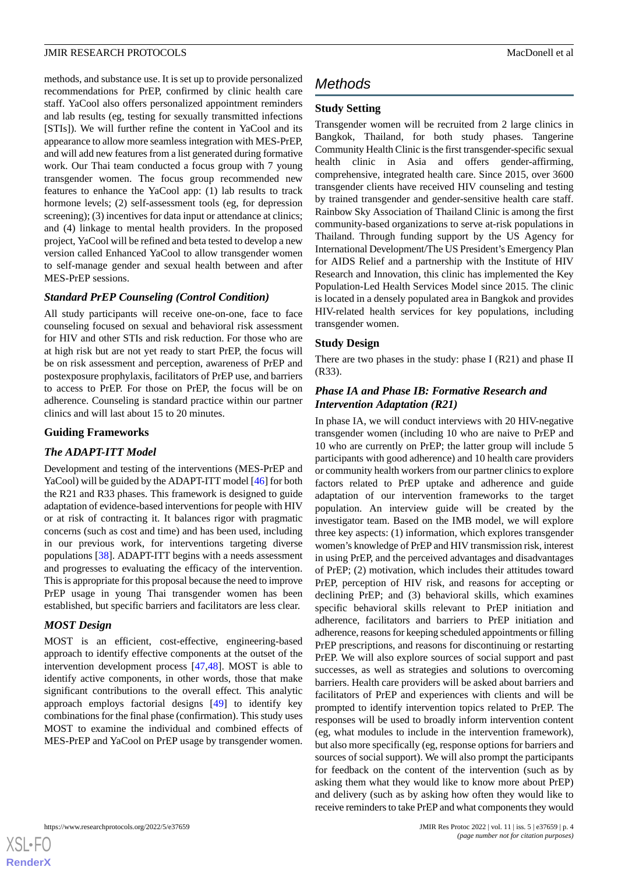methods, and substance use. It is set up to provide personalized recommendations for PrEP, confirmed by clinic health care staff. YaCool also offers personalized appointment reminders and lab results (eg, testing for sexually transmitted infections [STIs]). We will further refine the content in YaCool and its appearance to allow more seamless integration with MES-PrEP, and will add new features from a list generated during formative work. Our Thai team conducted a focus group with 7 young transgender women. The focus group recommended new features to enhance the YaCool app: (1) lab results to track hormone levels; (2) self-assessment tools (eg, for depression screening); (3) incentives for data input or attendance at clinics; and (4) linkage to mental health providers. In the proposed project, YaCool will be refined and beta tested to develop a new version called Enhanced YaCool to allow transgender women to self-manage gender and sexual health between and after MES-PrEP sessions.

#### *Standard PrEP Counseling (Control Condition)*

All study participants will receive one-on-one, face to face counseling focused on sexual and behavioral risk assessment for HIV and other STIs and risk reduction. For those who are at high risk but are not yet ready to start PrEP, the focus will be on risk assessment and perception, awareness of PrEP and postexposure prophylaxis, facilitators of PrEP use, and barriers to access to PrEP. For those on PrEP, the focus will be on adherence. Counseling is standard practice within our partner clinics and will last about 15 to 20 minutes.

#### **Guiding Frameworks**

#### *The ADAPT-ITT Model*

Development and testing of the interventions (MES-PrEP and YaCool) will be guided by the ADAPT-ITT model [\[46](#page-9-10)] for both the R21 and R33 phases. This framework is designed to guide adaptation of evidence-based interventions for people with HIV or at risk of contracting it. It balances rigor with pragmatic concerns (such as cost and time) and has been used, including in our previous work, for interventions targeting diverse populations [[38\]](#page-9-3). ADAPT-ITT begins with a needs assessment and progresses to evaluating the efficacy of the intervention. This is appropriate for this proposal because the need to improve PrEP usage in young Thai transgender women has been established, but specific barriers and facilitators are less clear.

#### *MOST Design*

MOST is an efficient, cost-effective, engineering-based approach to identify effective components at the outset of the intervention development process [[47](#page-9-11)[,48](#page-9-12)]. MOST is able to identify active components, in other words, those that make significant contributions to the overall effect. This analytic approach employs factorial designs [[49\]](#page-9-13) to identify key combinations for the final phase (confirmation). This study uses MOST to examine the individual and combined effects of MES-PrEP and YaCool on PrEP usage by transgender women.

## *Methods*

## **Study Setting**

Transgender women will be recruited from 2 large clinics in Bangkok, Thailand, for both study phases. Tangerine Community Health Clinic is the first transgender-specific sexual health clinic in Asia and offers gender-affirming, comprehensive, integrated health care. Since 2015, over 3600 transgender clients have received HIV counseling and testing by trained transgender and gender-sensitive health care staff. Rainbow Sky Association of Thailand Clinic is among the first community-based organizations to serve at-risk populations in Thailand. Through funding support by the US Agency for International Development/The US President's Emergency Plan for AIDS Relief and a partnership with the Institute of HIV Research and Innovation, this clinic has implemented the Key Population-Led Health Services Model since 2015. The clinic is located in a densely populated area in Bangkok and provides HIV-related health services for key populations, including transgender women.

#### **Study Design**

There are two phases in the study: phase I (R21) and phase II (R33).

## *Phase IA and Phase IB: Formative Research and Intervention Adaptation (R21)*

In phase IA, we will conduct interviews with 20 HIV-negative transgender women (including 10 who are naive to PrEP and 10 who are currently on PrEP; the latter group will include 5 participants with good adherence) and 10 health care providers or community health workers from our partner clinics to explore factors related to PrEP uptake and adherence and guide adaptation of our intervention frameworks to the target population. An interview guide will be created by the investigator team. Based on the IMB model, we will explore three key aspects: (1) information, which explores transgender women's knowledge of PrEP and HIV transmission risk, interest in using PrEP, and the perceived advantages and disadvantages of PrEP; (2) motivation, which includes their attitudes toward PrEP, perception of HIV risk, and reasons for accepting or declining PrEP; and (3) behavioral skills, which examines specific behavioral skills relevant to PrEP initiation and adherence, facilitators and barriers to PrEP initiation and adherence, reasons for keeping scheduled appointments or filling PrEP prescriptions, and reasons for discontinuing or restarting PrEP. We will also explore sources of social support and past successes, as well as strategies and solutions to overcoming barriers. Health care providers will be asked about barriers and facilitators of PrEP and experiences with clients and will be prompted to identify intervention topics related to PrEP. The responses will be used to broadly inform intervention content (eg, what modules to include in the intervention framework), but also more specifically (eg, response options for barriers and sources of social support). We will also prompt the participants for feedback on the content of the intervention (such as by asking them what they would like to know more about PrEP) and delivery (such as by asking how often they would like to receive reminders to take PrEP and what components they would

 $XS$  $\cdot$ FC **[RenderX](http://www.renderx.com/)**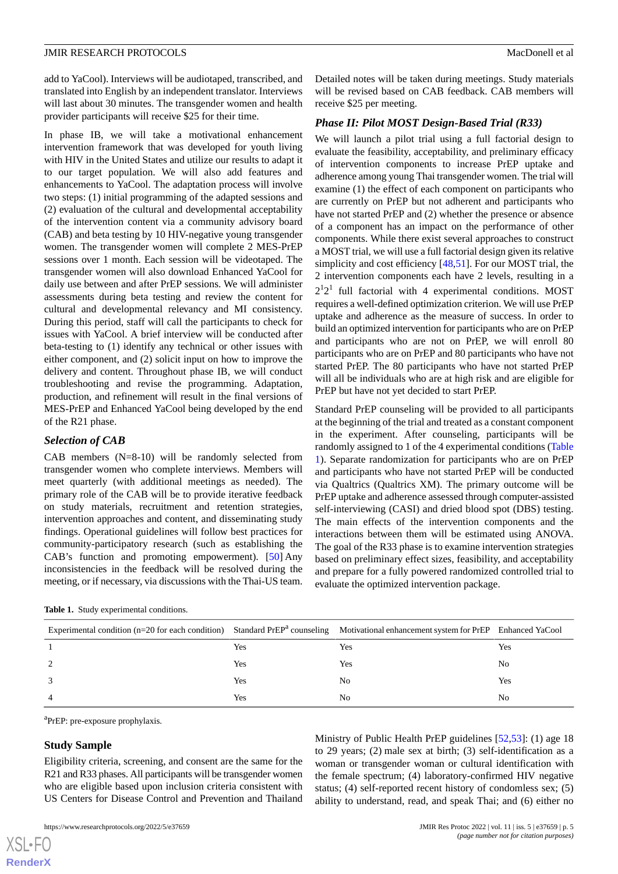add to YaCool). Interviews will be audiotaped, transcribed, and translated into English by an independent translator. Interviews will last about 30 minutes. The transgender women and health provider participants will receive \$25 for their time.

In phase IB, we will take a motivational enhancement intervention framework that was developed for youth living with HIV in the United States and utilize our results to adapt it to our target population. We will also add features and enhancements to YaCool. The adaptation process will involve two steps: (1) initial programming of the adapted sessions and (2) evaluation of the cultural and developmental acceptability of the intervention content via a community advisory board (CAB) and beta testing by 10 HIV-negative young transgender women. The transgender women will complete 2 MES-PrEP sessions over 1 month. Each session will be videotaped. The transgender women will also download Enhanced YaCool for daily use between and after PrEP sessions. We will administer assessments during beta testing and review the content for cultural and developmental relevancy and MI consistency. During this period, staff will call the participants to check for issues with YaCool. A brief interview will be conducted after beta-testing to (1) identify any technical or other issues with either component, and (2) solicit input on how to improve the delivery and content. Throughout phase IB, we will conduct troubleshooting and revise the programming. Adaptation, production, and refinement will result in the final versions of MES-PrEP and Enhanced YaCool being developed by the end of the R21 phase.

## *Selection of CAB*

CAB members (N=8-10) will be randomly selected from transgender women who complete interviews. Members will meet quarterly (with additional meetings as needed). The primary role of the CAB will be to provide iterative feedback on study materials, recruitment and retention strategies, intervention approaches and content, and disseminating study findings. Operational guidelines will follow best practices for community-participatory research (such as establishing the CAB's function and promoting empowerment). [\[50](#page-9-14)] Any inconsistencies in the feedback will be resolved during the meeting, or if necessary, via discussions with the Thai-US team.

<span id="page-4-0"></span>

Detailed notes will be taken during meetings. Study materials will be revised based on CAB feedback. CAB members will receive \$25 per meeting.

## *Phase II: Pilot MOST Design-Based Trial (R33)*

We will launch a pilot trial using a full factorial design to evaluate the feasibility, acceptability, and preliminary efficacy of intervention components to increase PrEP uptake and adherence among young Thai transgender women. The trial will examine (1) the effect of each component on participants who are currently on PrEP but not adherent and participants who have not started PrEP and (2) whether the presence or absence of a component has an impact on the performance of other components. While there exist several approaches to construct a MOST trial, we will use a full factorial design given its relative simplicity and cost efficiency [[48,](#page-9-12)[51](#page-9-15)]. For our MOST trial, the 2 intervention components each have 2 levels, resulting in a  $2^{1}2^{1}$  full factorial with 4 experimental conditions. MOST requires a well-defined optimization criterion. We will use PrEP uptake and adherence as the measure of success. In order to build an optimized intervention for participants who are on PrEP and participants who are not on PrEP, we will enroll 80 participants who are on PrEP and 80 participants who have not started PrEP. The 80 participants who have not started PrEP will all be individuals who are at high risk and are eligible for PrEP but have not yet decided to start PrEP.

Standard PrEP counseling will be provided to all participants at the beginning of the trial and treated as a constant component in the experiment. After counseling, participants will be randomly assigned to 1 of the 4 experimental conditions ([Table](#page-4-0) [1\)](#page-4-0). Separate randomization for participants who are on PrEP and participants who have not started PrEP will be conducted via Qualtrics (Qualtrics XM). The primary outcome will be PrEP uptake and adherence assessed through computer-assisted self-interviewing (CASI) and dried blood spot (DBS) testing. The main effects of the intervention components and the interactions between them will be estimated using ANOVA. The goal of the R33 phase is to examine intervention strategies based on preliminary effect sizes, feasibility, and acceptability and prepare for a fully powered randomized controlled trial to evaluate the optimized intervention package.

| Experimental condition ( $n=20$ for each condition) Standard PrEP <sup>a</sup> counseling Motivational enhancement system for PrEP Enhanced YaCool |     |     |     |
|----------------------------------------------------------------------------------------------------------------------------------------------------|-----|-----|-----|
|                                                                                                                                                    | Yes | Yes | Yes |
| 2                                                                                                                                                  | Yes | Yes | No  |
| 3                                                                                                                                                  | Yes | No  | Yes |
| 4                                                                                                                                                  | Yes | No  | No  |

<sup>a</sup>PrEP: pre-exposure prophylaxis.

## **Study Sample**

 $XS$  • FO **[RenderX](http://www.renderx.com/)**

Eligibility criteria, screening, and consent are the same for the R21 and R33 phases. All participants will be transgender women who are eligible based upon inclusion criteria consistent with US Centers for Disease Control and Prevention and Thailand

Ministry of Public Health PrEP guidelines [\[52](#page-9-16),[53\]](#page-9-17): (1) age 18 to 29 years; (2) male sex at birth; (3) self-identification as a woman or transgender woman or cultural identification with the female spectrum; (4) laboratory-confirmed HIV negative status; (4) self-reported recent history of condomless sex; (5) ability to understand, read, and speak Thai; and (6) either no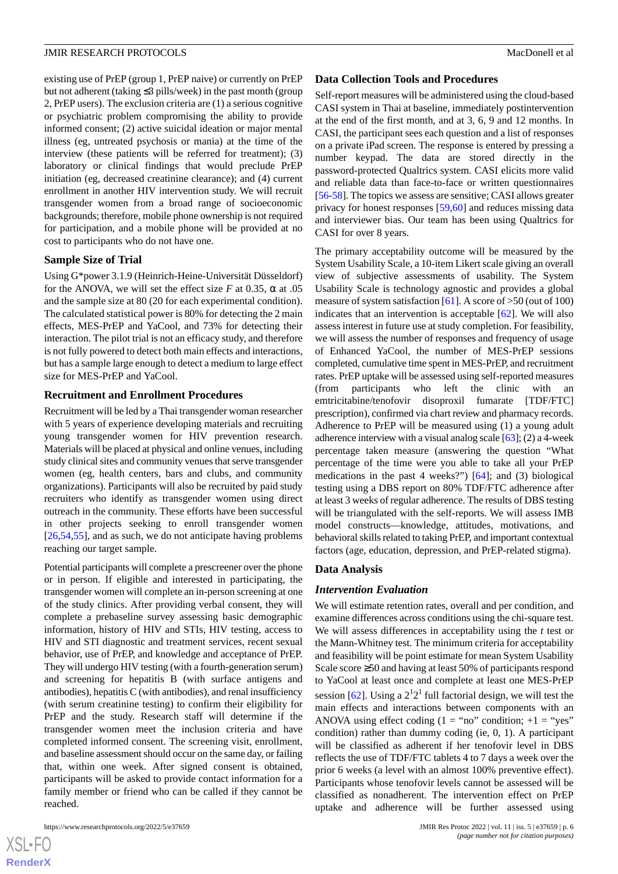existing use of PrEP (group 1, PrEP naive) or currently on PrEP but not adherent (taking ≤3 pills/week) in the past month (group 2, PrEP users). The exclusion criteria are (1) a serious cognitive or psychiatric problem compromising the ability to provide informed consent; (2) active suicidal ideation or major mental illness (eg, untreated psychosis or mania) at the time of the interview (these patients will be referred for treatment); (3) laboratory or clinical findings that would preclude PrEP initiation (eg, decreased creatinine clearance); and (4) current enrollment in another HIV intervention study. We will recruit transgender women from a broad range of socioeconomic backgrounds; therefore, mobile phone ownership is not required for participation, and a mobile phone will be provided at no cost to participants who do not have one.

#### **Sample Size of Trial**

Using G\*power 3.1.9 (Heinrich-Heine-Universität Düsseldorf) for the ANOVA, we will set the effect size *F* at 0.35,  $\alpha$  at 0.55 and the sample size at 80 (20 for each experimental condition). The calculated statistical power is 80% for detecting the 2 main effects, MES-PrEP and YaCool, and 73% for detecting their interaction. The pilot trial is not an efficacy study, and therefore is not fully powered to detect both main effects and interactions, but has a sample large enough to detect a medium to large effect size for MES-PrEP and YaCool.

#### **Recruitment and Enrollment Procedures**

Recruitment will be led by a Thai transgender woman researcher with 5 years of experience developing materials and recruiting young transgender women for HIV prevention research. Materials will be placed at physical and online venues, including study clinical sites and community venues that serve transgender women (eg, health centers, bars and clubs, and community organizations). Participants will also be recruited by paid study recruiters who identify as transgender women using direct outreach in the community. These efforts have been successful in other projects seeking to enroll transgender women [[26](#page-8-9)[,54](#page-9-18),[55\]](#page-9-19), and as such, we do not anticipate having problems reaching our target sample.

Potential participants will complete a prescreener over the phone or in person. If eligible and interested in participating, the transgender women will complete an in-person screening at one of the study clinics. After providing verbal consent, they will complete a prebaseline survey assessing basic demographic information, history of HIV and STIs, HIV testing, access to HIV and STI diagnostic and treatment services, recent sexual behavior, use of PrEP, and knowledge and acceptance of PrEP. They will undergo HIV testing (with a fourth-generation serum) and screening for hepatitis B (with surface antigens and antibodies), hepatitis C (with antibodies), and renal insufficiency (with serum creatinine testing) to confirm their eligibility for PrEP and the study. Research staff will determine if the transgender women meet the inclusion criteria and have completed informed consent. The screening visit, enrollment, and baseline assessment should occur on the same day, or failing that, within one week. After signed consent is obtained, participants will be asked to provide contact information for a family member or friend who can be called if they cannot be reached.

#### **Data Collection Tools and Procedures**

Self-report measures will be administered using the cloud-based CASI system in Thai at baseline, immediately postintervention at the end of the first month, and at 3, 6, 9 and 12 months. In CASI, the participant sees each question and a list of responses on a private iPad screen. The response is entered by pressing a number keypad. The data are stored directly in the password-protected Qualtrics system. CASI elicits more valid and reliable data than face-to-face or written questionnaires [[56-](#page-10-0)[58](#page-10-1)]. The topics we assess are sensitive; CASI allows greater privacy for honest responses [[59,](#page-10-2)[60](#page-10-3)] and reduces missing data and interviewer bias. Our team has been using Qualtrics for CASI for over 8 years.

The primary acceptability outcome will be measured by the System Usability Scale, a 10-item Likert scale giving an overall view of subjective assessments of usability. The System Usability Scale is technology agnostic and provides a global measure of system satisfaction [[61\]](#page-10-4). A score of  $>50$  (out of 100) indicates that an intervention is acceptable [[62\]](#page-10-5). We will also assess interest in future use at study completion. For feasibility, we will assess the number of responses and frequency of usage of Enhanced YaCool, the number of MES-PrEP sessions completed, cumulative time spent in MES-PrEP, and recruitment rates. PrEP uptake will be assessed using self-reported measures (from participants who left the clinic with an emtricitabine/tenofovir disoproxil fumarate [TDF/FTC] prescription), confirmed via chart review and pharmacy records. Adherence to PrEP will be measured using (1) a young adult adherence interview with a visual analog scale  $[63]$  $[63]$ ; (2) a 4-week percentage taken measure (answering the question "What percentage of the time were you able to take all your PrEP medications in the past 4 weeks?") [\[64](#page-10-7)]; and (3) biological testing using a DBS report on 80% TDF/FTC adherence after at least 3 weeks of regular adherence. The results of DBS testing will be triangulated with the self-reports. We will assess IMB model constructs—knowledge, attitudes, motivations, and behavioral skills related to taking PrEP, and important contextual factors (age, education, depression, and PrEP-related stigma).

#### **Data Analysis**

#### *Intervention Evaluation*

We will estimate retention rates, overall and per condition, and examine differences across conditions using the chi-square test. We will assess differences in acceptability using the *t* test or the Mann-Whitney test. The minimum criteria for acceptability and feasibility will be point estimate for mean System Usability Scale score ≥50 and having at least 50% of participants respond to YaCool at least once and complete at least one MES-PrEP session [\[62](#page-10-5)]. Using a  $2^{1}2^{1}$  full factorial design, we will test the main effects and interactions between components with an ANOVA using effect coding  $(1 = "no" condition; +1 = "yes"$ condition) rather than dummy coding (ie, 0, 1). A participant will be classified as adherent if her tenofovir level in DBS reflects the use of TDF/FTC tablets 4 to 7 days a week over the prior 6 weeks (a level with an almost 100% preventive effect). Participants whose tenofovir levels cannot be assessed will be classified as nonadherent. The intervention effect on PrEP uptake and adherence will be further assessed using

 $XSJ \cdot F$ **[RenderX](http://www.renderx.com/)**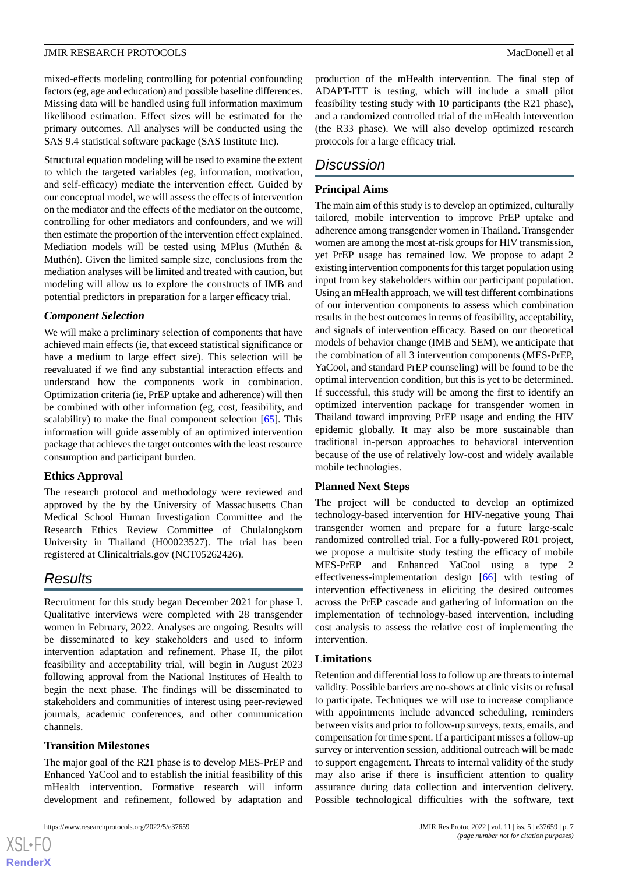mixed-effects modeling controlling for potential confounding factors (eg, age and education) and possible baseline differences. Missing data will be handled using full information maximum likelihood estimation. Effect sizes will be estimated for the primary outcomes. All analyses will be conducted using the SAS 9.4 statistical software package (SAS Institute Inc).

Structural equation modeling will be used to examine the extent to which the targeted variables (eg, information, motivation, and self-efficacy) mediate the intervention effect. Guided by our conceptual model, we will assess the effects of intervention on the mediator and the effects of the mediator on the outcome, controlling for other mediators and confounders, and we will then estimate the proportion of the intervention effect explained. Mediation models will be tested using MPlus (Muthén & Muthén). Given the limited sample size, conclusions from the mediation analyses will be limited and treated with caution, but modeling will allow us to explore the constructs of IMB and potential predictors in preparation for a larger efficacy trial.

## *Component Selection*

We will make a preliminary selection of components that have achieved main effects (ie, that exceed statistical significance or have a medium to large effect size). This selection will be reevaluated if we find any substantial interaction effects and understand how the components work in combination. Optimization criteria (ie, PrEP uptake and adherence) will then be combined with other information (eg, cost, feasibility, and scalability) to make the final component selection [\[65](#page-10-8)]. This information will guide assembly of an optimized intervention package that achieves the target outcomes with the least resource consumption and participant burden.

## **Ethics Approval**

The research protocol and methodology were reviewed and approved by the by the University of Massachusetts Chan Medical School Human Investigation Committee and the Research Ethics Review Committee of Chulalongkorn University in Thailand (H00023527). The trial has been registered at Clinicaltrials.gov (NCT05262426).

## *Results*

Recruitment for this study began December 2021 for phase I. Qualitative interviews were completed with 28 transgender women in February, 2022. Analyses are ongoing. Results will be disseminated to key stakeholders and used to inform intervention adaptation and refinement. Phase II, the pilot feasibility and acceptability trial, will begin in August 2023 following approval from the National Institutes of Health to begin the next phase. The findings will be disseminated to stakeholders and communities of interest using peer-reviewed journals, academic conferences, and other communication channels.

#### **Transition Milestones**

 $XS$  $\cdot$ FC **[RenderX](http://www.renderx.com/)**

The major goal of the R21 phase is to develop MES-PrEP and Enhanced YaCool and to establish the initial feasibility of this mHealth intervention. Formative research will inform development and refinement, followed by adaptation and

production of the mHealth intervention. The final step of ADAPT-ITT is testing, which will include a small pilot feasibility testing study with 10 participants (the R21 phase), and a randomized controlled trial of the mHealth intervention (the R33 phase). We will also develop optimized research protocols for a large efficacy trial.

## *Discussion*

## **Principal Aims**

The main aim of this study is to develop an optimized, culturally tailored, mobile intervention to improve PrEP uptake and adherence among transgender women in Thailand. Transgender women are among the most at-risk groups for HIV transmission, yet PrEP usage has remained low. We propose to adapt 2 existing intervention components for this target population using input from key stakeholders within our participant population. Using an mHealth approach, we will test different combinations of our intervention components to assess which combination results in the best outcomes in terms of feasibility, acceptability, and signals of intervention efficacy. Based on our theoretical models of behavior change (IMB and SEM), we anticipate that the combination of all 3 intervention components (MES-PrEP, YaCool, and standard PrEP counseling) will be found to be the optimal intervention condition, but this is yet to be determined. If successful, this study will be among the first to identify an optimized intervention package for transgender women in Thailand toward improving PrEP usage and ending the HIV epidemic globally. It may also be more sustainable than traditional in-person approaches to behavioral intervention because of the use of relatively low-cost and widely available mobile technologies.

## **Planned Next Steps**

The project will be conducted to develop an optimized technology-based intervention for HIV-negative young Thai transgender women and prepare for a future large-scale randomized controlled trial. For a fully-powered R01 project, we propose a multisite study testing the efficacy of mobile MES-PrEP and Enhanced YaCool using a type 2 effectiveness-implementation design [\[66](#page-10-9)] with testing of intervention effectiveness in eliciting the desired outcomes across the PrEP cascade and gathering of information on the implementation of technology-based intervention, including cost analysis to assess the relative cost of implementing the intervention.

## **Limitations**

Retention and differential loss to follow up are threats to internal validity. Possible barriers are no-shows at clinic visits or refusal to participate. Techniques we will use to increase compliance with appointments include advanced scheduling, reminders between visits and prior to follow-up surveys, texts, emails, and compensation for time spent. If a participant misses a follow-up survey or intervention session, additional outreach will be made to support engagement. Threats to internal validity of the study may also arise if there is insufficient attention to quality assurance during data collection and intervention delivery. Possible technological difficulties with the software, text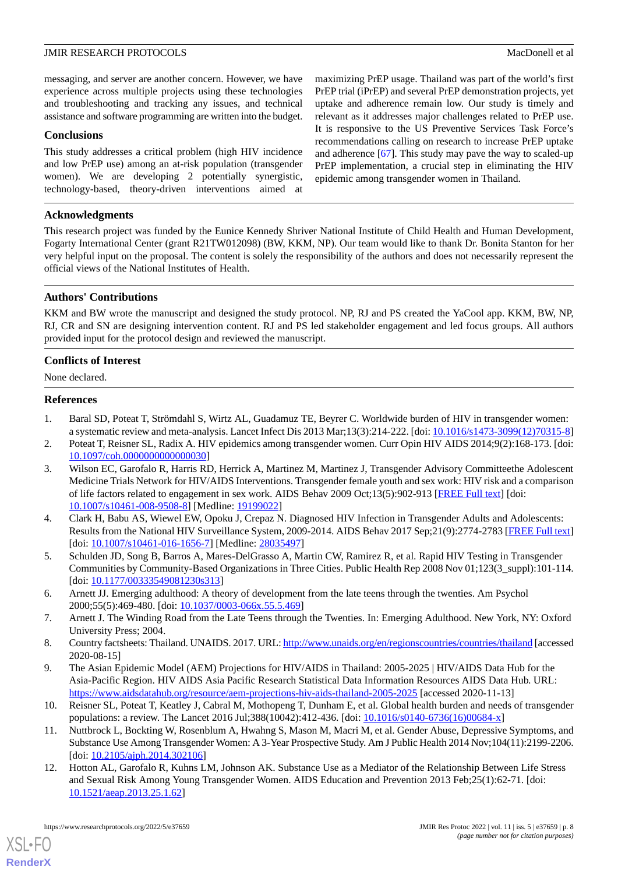messaging, and server are another concern. However, we have experience across multiple projects using these technologies and troubleshooting and tracking any issues, and technical assistance and software programming are written into the budget.

### **Conclusions**

This study addresses a critical problem (high HIV incidence and low PrEP use) among an at-risk population (transgender women). We are developing 2 potentially synergistic, technology-based, theory-driven interventions aimed at

maximizing PrEP usage. Thailand was part of the world's first PrEP trial (iPrEP) and several PrEP demonstration projects, yet uptake and adherence remain low. Our study is timely and relevant as it addresses major challenges related to PrEP use. It is responsive to the US Preventive Services Task Force's recommendations calling on research to increase PrEP uptake and adherence [[67\]](#page-10-10). This study may pave the way to scaled-up PrEP implementation, a crucial step in eliminating the HIV epidemic among transgender women in Thailand.

### **Acknowledgments**

This research project was funded by the Eunice Kennedy Shriver National Institute of Child Health and Human Development, Fogarty International Center (grant R21TW012098) (BW, KKM, NP). Our team would like to thank Dr. Bonita Stanton for her very helpful input on the proposal. The content is solely the responsibility of the authors and does not necessarily represent the official views of the National Institutes of Health.

## **Authors' Contributions**

KKM and BW wrote the manuscript and designed the study protocol. NP, RJ and PS created the YaCool app. KKM, BW, NP, RJ, CR and SN are designing intervention content. RJ and PS led stakeholder engagement and led focus groups. All authors provided input for the protocol design and reviewed the manuscript.

#### **Conflicts of Interest**

<span id="page-7-0"></span>None declared.

#### <span id="page-7-1"></span>**References**

- <span id="page-7-2"></span>1. Baral SD, Poteat T, Strömdahl S, Wirtz AL, Guadamuz TE, Beyrer C. Worldwide burden of HIV in transgender women: a systematic review and meta-analysis. Lancet Infect Dis 2013 Mar;13(3):214-222. [doi: [10.1016/s1473-3099\(12\)70315-8](http://dx.doi.org/10.1016/s1473-3099(12)70315-8)]
- 2. Poteat T, Reisner SL, Radix A. HIV epidemics among transgender women. Curr Opin HIV AIDS 2014;9(2):168-173. [doi: [10.1097/coh.0000000000000030\]](http://dx.doi.org/10.1097/coh.0000000000000030)
- 3. Wilson EC, Garofalo R, Harris RD, Herrick A, Martinez M, Martinez J, Transgender Advisory Committeethe Adolescent Medicine Trials Network for HIV/AIDS Interventions. Transgender female youth and sex work: HIV risk and a comparison of life factors related to engagement in sex work. AIDS Behav 2009 Oct;13(5):902-913 [[FREE Full text](http://europepmc.org/abstract/MED/19199022)] [doi: [10.1007/s10461-008-9508-8\]](http://dx.doi.org/10.1007/s10461-008-9508-8) [Medline: [19199022](http://www.ncbi.nlm.nih.gov/entrez/query.fcgi?cmd=Retrieve&db=PubMed&list_uids=19199022&dopt=Abstract)]
- <span id="page-7-4"></span><span id="page-7-3"></span>4. Clark H, Babu AS, Wiewel EW, Opoku J, Crepaz N. Diagnosed HIV Infection in Transgender Adults and Adolescents: Results from the National HIV Surveillance System, 2009-2014. AIDS Behav 2017 Sep;21(9):2774-2783 [[FREE Full text](http://europepmc.org/abstract/MED/28035497)] [doi: [10.1007/s10461-016-1656-7](http://dx.doi.org/10.1007/s10461-016-1656-7)] [Medline: [28035497\]](http://www.ncbi.nlm.nih.gov/entrez/query.fcgi?cmd=Retrieve&db=PubMed&list_uids=28035497&dopt=Abstract)
- <span id="page-7-5"></span>5. Schulden JD, Song B, Barros A, Mares-DelGrasso A, Martin CW, Ramirez R, et al. Rapid HIV Testing in Transgender Communities by Community-Based Organizations in Three Cities. Public Health Rep 2008 Nov 01;123(3\_suppl):101-114. [doi: [10.1177/00333549081230s313](http://dx.doi.org/10.1177/00333549081230s313)]
- <span id="page-7-7"></span><span id="page-7-6"></span>6. Arnett JJ. Emerging adulthood: A theory of development from the late teens through the twenties. Am Psychol 2000;55(5):469-480. [doi: [10.1037/0003-066x.55.5.469\]](http://dx.doi.org/10.1037/0003-066x.55.5.469)
- 7. Arnett J. The Winding Road from the Late Teens through the Twenties. In: Emerging Adulthood. New York, NY: Oxford University Press; 2004.
- <span id="page-7-8"></span>8. Country factsheets: Thailand. UNAIDS. 2017. URL:<http://www.unaids.org/en/regionscountries/countries/thailand> [accessed] 2020-08-15]
- <span id="page-7-9"></span>9. The Asian Epidemic Model (AEM) Projections for HIV/AIDS in Thailand: 2005-2025 | HIV/AIDS Data Hub for the Asia-Pacific Region. HIV AIDS Asia Pacific Research Statistical Data Information Resources AIDS Data Hub. URL: <https://www.aidsdatahub.org/resource/aem-projections-hiv-aids-thailand-2005-2025> [accessed 2020-11-13]
- 10. Reisner SL, Poteat T, Keatley J, Cabral M, Mothopeng T, Dunham E, et al. Global health burden and needs of transgender populations: a review. The Lancet 2016 Jul;388(10042):412-436. [doi: [10.1016/s0140-6736\(16\)00684-x\]](http://dx.doi.org/10.1016/s0140-6736(16)00684-x)
- 11. Nuttbrock L, Bockting W, Rosenblum A, Hwahng S, Mason M, Macri M, et al. Gender Abuse, Depressive Symptoms, and Substance Use Among Transgender Women: A 3-Year Prospective Study. Am J Public Health 2014 Nov;104(11):2199-2206. [doi: [10.2105/ajph.2014.302106](http://dx.doi.org/10.2105/ajph.2014.302106)]
- 12. Hotton AL, Garofalo R, Kuhns LM, Johnson AK. Substance Use as a Mediator of the Relationship Between Life Stress and Sexual Risk Among Young Transgender Women. AIDS Education and Prevention 2013 Feb;25(1):62-71. [doi: [10.1521/aeap.2013.25.1.62](http://dx.doi.org/10.1521/aeap.2013.25.1.62)]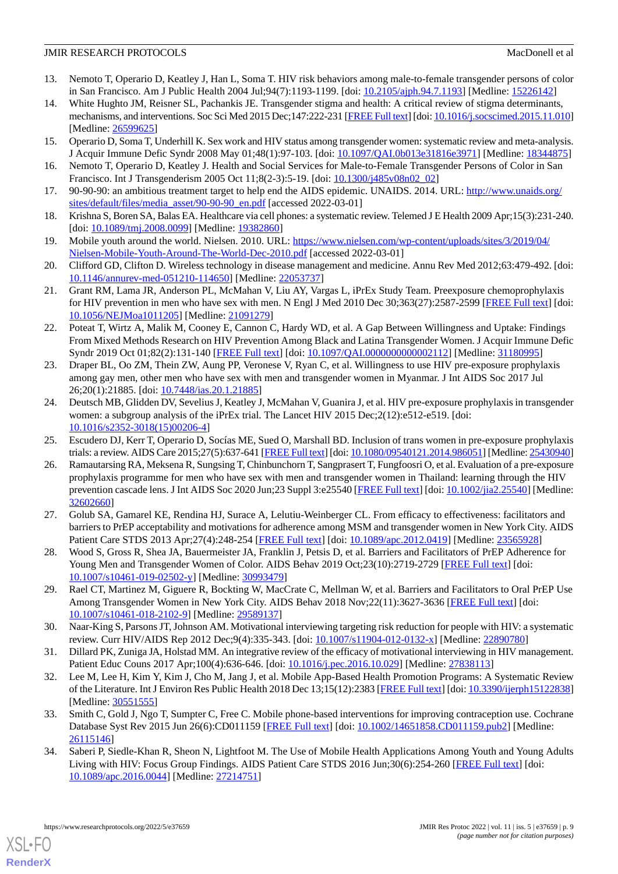- 13. Nemoto T, Operario D, Keatley J, Han L, Soma T. HIV risk behaviors among male-to-female transgender persons of color in San Francisco. Am J Public Health 2004 Jul;94(7):1193-1199. [doi: [10.2105/ajph.94.7.1193](http://dx.doi.org/10.2105/ajph.94.7.1193)] [Medline: [15226142](http://www.ncbi.nlm.nih.gov/entrez/query.fcgi?cmd=Retrieve&db=PubMed&list_uids=15226142&dopt=Abstract)]
- 14. White Hughto JM, Reisner SL, Pachankis JE. Transgender stigma and health: A critical review of stigma determinants, mechanisms, and interventions. Soc Sci Med 2015 Dec;147:222-231 [\[FREE Full text](http://europepmc.org/abstract/MED/26599625)] [doi: [10.1016/j.socscimed.2015.11.010\]](http://dx.doi.org/10.1016/j.socscimed.2015.11.010) [Medline: [26599625](http://www.ncbi.nlm.nih.gov/entrez/query.fcgi?cmd=Retrieve&db=PubMed&list_uids=26599625&dopt=Abstract)]
- <span id="page-8-0"></span>15. Operario D, Soma T, Underhill K. Sex work and HIV status among transgender women: systematic review and meta-analysis. J Acquir Immune Defic Syndr 2008 May 01;48(1):97-103. [doi: [10.1097/QAI.0b013e31816e3971\]](http://dx.doi.org/10.1097/QAI.0b013e31816e3971) [Medline: [18344875](http://www.ncbi.nlm.nih.gov/entrez/query.fcgi?cmd=Retrieve&db=PubMed&list_uids=18344875&dopt=Abstract)]
- <span id="page-8-1"></span>16. Nemoto T, Operario D, Keatley J. Health and Social Services for Male-to-Female Transgender Persons of Color in San Francisco. Int J Transgenderism 2005 Oct 11;8(2-3):5-19. [doi: [10.1300/j485v08n02\\_02\]](http://dx.doi.org/10.1300/j485v08n02_02)
- <span id="page-8-2"></span>17. 90-90-90: an ambitious treatment target to help end the AIDS epidemic. UNAIDS. 2014. URL: [http://www.unaids.org/](http://www.unaids.org/sites/default/files/media_asset/90-90-90_en.pdf) [sites/default/files/media\\_asset/90-90-90\\_en.pdf](http://www.unaids.org/sites/default/files/media_asset/90-90-90_en.pdf) [accessed 2022-03-01]
- 18. Krishna S, Boren SA, Balas EA. Healthcare via cell phones: a systematic review. Telemed J E Health 2009 Apr;15(3):231-240. [doi: [10.1089/tmj.2008.0099\]](http://dx.doi.org/10.1089/tmj.2008.0099) [Medline: [19382860](http://www.ncbi.nlm.nih.gov/entrez/query.fcgi?cmd=Retrieve&db=PubMed&list_uids=19382860&dopt=Abstract)]
- <span id="page-8-3"></span>19. Mobile youth around the world. Nielsen. 2010. URL: [https://www.nielsen.com/wp-content/uploads/sites/3/2019/04/](https://www.nielsen.com/wp-content/uploads/sites/3/2019/04/Nielsen-Mobile-Youth-Around-The-World-Dec-2010.pdf) [Nielsen-Mobile-Youth-Around-The-World-Dec-2010.pdf](https://www.nielsen.com/wp-content/uploads/sites/3/2019/04/Nielsen-Mobile-Youth-Around-The-World-Dec-2010.pdf) [accessed 2022-03-01]
- <span id="page-8-4"></span>20. Clifford GD, Clifton D. Wireless technology in disease management and medicine. Annu Rev Med 2012;63:479-492. [doi: [10.1146/annurev-med-051210-114650\]](http://dx.doi.org/10.1146/annurev-med-051210-114650) [Medline: [22053737\]](http://www.ncbi.nlm.nih.gov/entrez/query.fcgi?cmd=Retrieve&db=PubMed&list_uids=22053737&dopt=Abstract)
- <span id="page-8-5"></span>21. Grant RM, Lama JR, Anderson PL, McMahan V, Liu AY, Vargas L, iPrEx Study Team. Preexposure chemoprophylaxis for HIV prevention in men who have sex with men. N Engl J Med 2010 Dec 30;363(27):2587-2599 [\[FREE Full text](http://europepmc.org/abstract/MED/21091279)] [doi: [10.1056/NEJMoa1011205](http://dx.doi.org/10.1056/NEJMoa1011205)] [Medline: [21091279](http://www.ncbi.nlm.nih.gov/entrez/query.fcgi?cmd=Retrieve&db=PubMed&list_uids=21091279&dopt=Abstract)]
- <span id="page-8-6"></span>22. Poteat T, Wirtz A, Malik M, Cooney E, Cannon C, Hardy WD, et al. A Gap Between Willingness and Uptake: Findings From Mixed Methods Research on HIV Prevention Among Black and Latina Transgender Women. J Acquir Immune Defic Syndr 2019 Oct 01;82(2):131-140 [[FREE Full text](http://europepmc.org/abstract/MED/31180995)] [doi: [10.1097/QAI.0000000000002112\]](http://dx.doi.org/10.1097/QAI.0000000000002112) [Medline: [31180995\]](http://www.ncbi.nlm.nih.gov/entrez/query.fcgi?cmd=Retrieve&db=PubMed&list_uids=31180995&dopt=Abstract)
- <span id="page-8-7"></span>23. Draper BL, Oo ZM, Thein ZW, Aung PP, Veronese V, Ryan C, et al. Willingness to use HIV pre-exposure prophylaxis among gay men, other men who have sex with men and transgender women in Myanmar. J Int AIDS Soc 2017 Jul 26;20(1):21885. [doi: [10.7448/ias.20.1.21885](http://dx.doi.org/10.7448/ias.20.1.21885)]
- <span id="page-8-9"></span><span id="page-8-8"></span>24. Deutsch MB, Glidden DV, Sevelius J, Keatley J, McMahan V, Guanira J, et al. HIV pre-exposure prophylaxis in transgender women: a subgroup analysis of the iPrEx trial. The Lancet HIV 2015 Dec;2(12):e512-e519. [doi: [10.1016/s2352-3018\(15\)00206-4](http://dx.doi.org/10.1016/s2352-3018(15)00206-4)]
- 25. Escudero DJ, Kerr T, Operario D, Socías ME, Sued O, Marshall BD. Inclusion of trans women in pre-exposure prophylaxis trials: a review. AIDS Care 2015;27(5):637-641 [[FREE Full text\]](http://europepmc.org/abstract/MED/25430940) [doi: [10.1080/09540121.2014.986051\]](http://dx.doi.org/10.1080/09540121.2014.986051) [Medline: [25430940](http://www.ncbi.nlm.nih.gov/entrez/query.fcgi?cmd=Retrieve&db=PubMed&list_uids=25430940&dopt=Abstract)]
- <span id="page-8-10"></span>26. Ramautarsing RA, Meksena R, Sungsing T, Chinbunchorn T, Sangprasert T, Fungfoosri O, et al. Evaluation of a pre-exposure prophylaxis programme for men who have sex with men and transgender women in Thailand: learning through the HIV prevention cascade lens. J Int AIDS Soc 2020 Jun;23 Suppl 3:e25540 [\[FREE Full text\]](http://europepmc.org/abstract/MED/32602660) [doi: [10.1002/jia2.25540\]](http://dx.doi.org/10.1002/jia2.25540) [Medline: [32602660](http://www.ncbi.nlm.nih.gov/entrez/query.fcgi?cmd=Retrieve&db=PubMed&list_uids=32602660&dopt=Abstract)]
- <span id="page-8-12"></span><span id="page-8-11"></span>27. Golub SA, Gamarel KE, Rendina HJ, Surace A, Lelutiu-Weinberger CL. From efficacy to effectiveness: facilitators and barriers to PrEP acceptability and motivations for adherence among MSM and transgender women in New York City. AIDS Patient Care STDS 2013 Apr;27(4):248-254 [\[FREE Full text\]](http://europepmc.org/abstract/MED/23565928) [doi: [10.1089/apc.2012.0419](http://dx.doi.org/10.1089/apc.2012.0419)] [Medline: [23565928\]](http://www.ncbi.nlm.nih.gov/entrez/query.fcgi?cmd=Retrieve&db=PubMed&list_uids=23565928&dopt=Abstract)
- <span id="page-8-13"></span>28. Wood S, Gross R, Shea JA, Bauermeister JA, Franklin J, Petsis D, et al. Barriers and Facilitators of PrEP Adherence for Young Men and Transgender Women of Color. AIDS Behav 2019 Oct:23(10):2719-2729 [\[FREE Full text\]](http://europepmc.org/abstract/MED/30993479) [doi: [10.1007/s10461-019-02502-y\]](http://dx.doi.org/10.1007/s10461-019-02502-y) [Medline: [30993479\]](http://www.ncbi.nlm.nih.gov/entrez/query.fcgi?cmd=Retrieve&db=PubMed&list_uids=30993479&dopt=Abstract)
- <span id="page-8-14"></span>29. Rael CT, Martinez M, Giguere R, Bockting W, MacCrate C, Mellman W, et al. Barriers and Facilitators to Oral PrEP Use Among Transgender Women in New York City. AIDS Behav 2018 Nov;22(11):3627-3636 [\[FREE Full text](http://europepmc.org/abstract/MED/29589137)] [doi: [10.1007/s10461-018-2102-9\]](http://dx.doi.org/10.1007/s10461-018-2102-9) [Medline: [29589137](http://www.ncbi.nlm.nih.gov/entrez/query.fcgi?cmd=Retrieve&db=PubMed&list_uids=29589137&dopt=Abstract)]
- <span id="page-8-15"></span>30. Naar-King S, Parsons JT, Johnson AM. Motivational interviewing targeting risk reduction for people with HIV: a systematic review. Curr HIV/AIDS Rep 2012 Dec;9(4):335-343. [doi:  $10.1007/s11904-012-0132-x$ ] [Medline: [22890780\]](http://www.ncbi.nlm.nih.gov/entrez/query.fcgi?cmd=Retrieve&db=PubMed&list_uids=22890780&dopt=Abstract)
- <span id="page-8-16"></span>31. Dillard PK, Zuniga JA, Holstad MM. An integrative review of the efficacy of motivational interviewing in HIV management. Patient Educ Couns 2017 Apr;100(4):636-646. [doi: [10.1016/j.pec.2016.10.029\]](http://dx.doi.org/10.1016/j.pec.2016.10.029) [Medline: [27838113](http://www.ncbi.nlm.nih.gov/entrez/query.fcgi?cmd=Retrieve&db=PubMed&list_uids=27838113&dopt=Abstract)]
- <span id="page-8-17"></span>32. Lee M, Lee H, Kim Y, Kim J, Cho M, Jang J, et al. Mobile App-Based Health Promotion Programs: A Systematic Review of the Literature. Int J Environ Res Public Health 2018 Dec 13;15(12):2383 [\[FREE Full text\]](https://www.mdpi.com/resolver?pii=ijerph15122838) [doi: [10.3390/ijerph15122838\]](http://dx.doi.org/10.3390/ijerph15122838) [Medline: [30551555](http://www.ncbi.nlm.nih.gov/entrez/query.fcgi?cmd=Retrieve&db=PubMed&list_uids=30551555&dopt=Abstract)]
- 33. Smith C, Gold J, Ngo T, Sumpter C, Free C. Mobile phone-based interventions for improving contraception use. Cochrane Database Syst Rev 2015 Jun 26(6):CD011159 [[FREE Full text](http://europepmc.org/abstract/MED/26115146)] [doi: [10.1002/14651858.CD011159.pub2\]](http://dx.doi.org/10.1002/14651858.CD011159.pub2) [Medline: [26115146](http://www.ncbi.nlm.nih.gov/entrez/query.fcgi?cmd=Retrieve&db=PubMed&list_uids=26115146&dopt=Abstract)]
- 34. Saberi P, Siedle-Khan R, Sheon N, Lightfoot M. The Use of Mobile Health Applications Among Youth and Young Adults Living with HIV: Focus Group Findings. AIDS Patient Care STDS 2016 Jun;30(6):254-260 [\[FREE Full text\]](http://europepmc.org/abstract/MED/27214751) [doi: [10.1089/apc.2016.0044\]](http://dx.doi.org/10.1089/apc.2016.0044) [Medline: [27214751](http://www.ncbi.nlm.nih.gov/entrez/query.fcgi?cmd=Retrieve&db=PubMed&list_uids=27214751&dopt=Abstract)]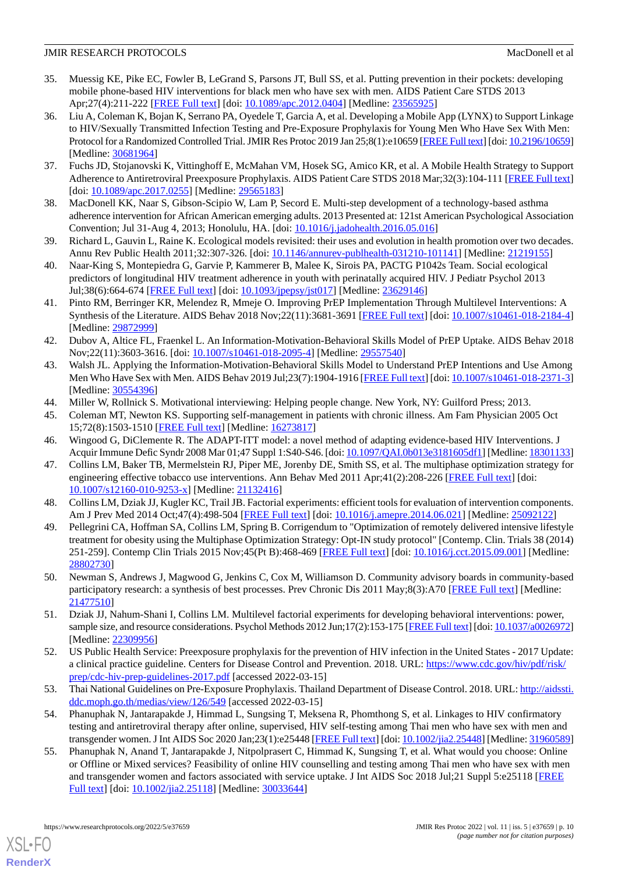- <span id="page-9-0"></span>35. Muessig KE, Pike EC, Fowler B, LeGrand S, Parsons JT, Bull SS, et al. Putting prevention in their pockets: developing mobile phone-based HIV interventions for black men who have sex with men. AIDS Patient Care STDS 2013 Apr;27(4):211-222 [\[FREE Full text\]](http://europepmc.org/abstract/MED/23565925) [doi: [10.1089/apc.2012.0404](http://dx.doi.org/10.1089/apc.2012.0404)] [Medline: [23565925](http://www.ncbi.nlm.nih.gov/entrez/query.fcgi?cmd=Retrieve&db=PubMed&list_uids=23565925&dopt=Abstract)]
- <span id="page-9-1"></span>36. Liu A, Coleman K, Bojan K, Serrano PA, Oyedele T, Garcia A, et al. Developing a Mobile App (LYNX) to Support Linkage to HIV/Sexually Transmitted Infection Testing and Pre-Exposure Prophylaxis for Young Men Who Have Sex With Men: Protocol for a Randomized Controlled Trial. JMIR Res Protoc 2019 Jan 25;8(1):e10659 [[FREE Full text\]](https://www.researchprotocols.org/2019/1/e10659/) [doi: [10.2196/10659\]](http://dx.doi.org/10.2196/10659) [Medline: [30681964](http://www.ncbi.nlm.nih.gov/entrez/query.fcgi?cmd=Retrieve&db=PubMed&list_uids=30681964&dopt=Abstract)]
- <span id="page-9-3"></span><span id="page-9-2"></span>37. Fuchs JD, Stojanovski K, Vittinghoff E, McMahan VM, Hosek SG, Amico KR, et al. A Mobile Health Strategy to Support Adherence to Antiretroviral Preexposure Prophylaxis. AIDS Patient Care STDS 2018 Mar;32(3):104-111 [[FREE Full text](http://europepmc.org/abstract/MED/29565183)] [doi: [10.1089/apc.2017.0255](http://dx.doi.org/10.1089/apc.2017.0255)] [Medline: [29565183\]](http://www.ncbi.nlm.nih.gov/entrez/query.fcgi?cmd=Retrieve&db=PubMed&list_uids=29565183&dopt=Abstract)
- <span id="page-9-4"></span>38. MacDonell KK, Naar S, Gibson-Scipio W, Lam P, Secord E. Multi-step development of a technology-based asthma adherence intervention for African American emerging adults. 2013 Presented at: 121st American Psychological Association Convention; Jul 31-Aug 4, 2013; Honolulu, HA. [doi: [10.1016/j.jadohealth.2016.05.016\]](http://dx.doi.org/10.1016/j.jadohealth.2016.05.016)
- 39. Richard L, Gauvin L, Raine K. Ecological models revisited: their uses and evolution in health promotion over two decades. Annu Rev Public Health 2011;32:307-326. [doi: [10.1146/annurev-publhealth-031210-101141\]](http://dx.doi.org/10.1146/annurev-publhealth-031210-101141) [Medline: [21219155](http://www.ncbi.nlm.nih.gov/entrez/query.fcgi?cmd=Retrieve&db=PubMed&list_uids=21219155&dopt=Abstract)]
- <span id="page-9-5"></span>40. Naar-King S, Montepiedra G, Garvie P, Kammerer B, Malee K, Sirois PA, PACTG P1042s Team. Social ecological predictors of longitudinal HIV treatment adherence in youth with perinatally acquired HIV. J Pediatr Psychol 2013 Jul;38(6):664-674 [[FREE Full text\]](http://europepmc.org/abstract/MED/23629146) [doi: [10.1093/jpepsy/jst017\]](http://dx.doi.org/10.1093/jpepsy/jst017) [Medline: [23629146\]](http://www.ncbi.nlm.nih.gov/entrez/query.fcgi?cmd=Retrieve&db=PubMed&list_uids=23629146&dopt=Abstract)
- <span id="page-9-6"></span>41. Pinto RM, Berringer KR, Melendez R, Mmeje O. Improving PrEP Implementation Through Multilevel Interventions: A Synthesis of the Literature. AIDS Behav 2018 Nov;22(11):3681-3691 [\[FREE Full text\]](http://europepmc.org/abstract/MED/29872999) [doi: [10.1007/s10461-018-2184-4](http://dx.doi.org/10.1007/s10461-018-2184-4)] [Medline: [29872999](http://www.ncbi.nlm.nih.gov/entrez/query.fcgi?cmd=Retrieve&db=PubMed&list_uids=29872999&dopt=Abstract)]
- <span id="page-9-7"></span>42. Dubov A, Altice FL, Fraenkel L. An Information-Motivation-Behavioral Skills Model of PrEP Uptake. AIDS Behav 2018 Nov;22(11):3603-3616. [doi: [10.1007/s10461-018-2095-4\]](http://dx.doi.org/10.1007/s10461-018-2095-4) [Medline: [29557540\]](http://www.ncbi.nlm.nih.gov/entrez/query.fcgi?cmd=Retrieve&db=PubMed&list_uids=29557540&dopt=Abstract)
- <span id="page-9-9"></span><span id="page-9-8"></span>43. Walsh JL. Applying the Information-Motivation-Behavioral Skills Model to Understand PrEP Intentions and Use Among Men Who Have Sex with Men. AIDS Behav 2019 Jul;23(7):1904-1916 [\[FREE Full text\]](http://europepmc.org/abstract/MED/30554396) [doi: [10.1007/s10461-018-2371-3](http://dx.doi.org/10.1007/s10461-018-2371-3)] [Medline: [30554396](http://www.ncbi.nlm.nih.gov/entrez/query.fcgi?cmd=Retrieve&db=PubMed&list_uids=30554396&dopt=Abstract)]
- <span id="page-9-10"></span>44. Miller W, Rollnick S. Motivational interviewing: Helping people change. New York, NY: Guilford Press; 2013.
- <span id="page-9-11"></span>45. Coleman MT, Newton KS. Supporting self-management in patients with chronic illness. Am Fam Physician 2005 Oct 15;72(8):1503-1510 [[FREE Full text](https://www.aafp.org/link_out?pmid=16273817)] [Medline: [16273817](http://www.ncbi.nlm.nih.gov/entrez/query.fcgi?cmd=Retrieve&db=PubMed&list_uids=16273817&dopt=Abstract)]
- 46. Wingood G, DiClemente R. The ADAPT-ITT model: a novel method of adapting evidence-based HIV Interventions. J Acquir Immune Defic Syndr 2008 Mar 01;47 Suppl 1:S40-S46. [doi: [10.1097/QAI.0b013e3181605df1](http://dx.doi.org/10.1097/QAI.0b013e3181605df1)] [Medline: [18301133](http://www.ncbi.nlm.nih.gov/entrez/query.fcgi?cmd=Retrieve&db=PubMed&list_uids=18301133&dopt=Abstract)]
- <span id="page-9-13"></span><span id="page-9-12"></span>47. Collins LM, Baker TB, Mermelstein RJ, Piper ME, Jorenby DE, Smith SS, et al. The multiphase optimization strategy for engineering effective tobacco use interventions. Ann Behav Med 2011 Apr;41(2):208-226 [\[FREE Full text\]](http://europepmc.org/abstract/MED/21132416) [doi: [10.1007/s12160-010-9253-x\]](http://dx.doi.org/10.1007/s12160-010-9253-x) [Medline: [21132416](http://www.ncbi.nlm.nih.gov/entrez/query.fcgi?cmd=Retrieve&db=PubMed&list_uids=21132416&dopt=Abstract)]
- 48. Collins LM, Dziak JJ, Kugler KC, Trail JB. Factorial experiments: efficient tools for evaluation of intervention components. Am J Prev Med 2014 Oct;47(4):498-504 [\[FREE Full text\]](http://europepmc.org/abstract/MED/25092122) [doi: [10.1016/j.amepre.2014.06.021](http://dx.doi.org/10.1016/j.amepre.2014.06.021)] [Medline: [25092122](http://www.ncbi.nlm.nih.gov/entrez/query.fcgi?cmd=Retrieve&db=PubMed&list_uids=25092122&dopt=Abstract)]
- <span id="page-9-14"></span>49. Pellegrini CA, Hoffman SA, Collins LM, Spring B. Corrigendum to "Optimization of remotely delivered intensive lifestyle treatment for obesity using the Multiphase Optimization Strategy: Opt-IN study protocol" [Contemp. Clin. Trials 38 (2014) 251-259]. Contemp Clin Trials 2015 Nov;45(Pt B):468-469 [\[FREE Full text](http://europepmc.org/abstract/MED/28802730)] [doi: [10.1016/j.cct.2015.09.001](http://dx.doi.org/10.1016/j.cct.2015.09.001)] [Medline: [28802730](http://www.ncbi.nlm.nih.gov/entrez/query.fcgi?cmd=Retrieve&db=PubMed&list_uids=28802730&dopt=Abstract)]
- <span id="page-9-16"></span><span id="page-9-15"></span>50. Newman S, Andrews J, Magwood G, Jenkins C, Cox M, Williamson D. Community advisory boards in community-based participatory research: a synthesis of best processes. Prev Chronic Dis 2011 May;8(3):A70 [\[FREE Full text\]](https://www.cdc.gov/pcd/issues/2011/may/10_0045.htm) [Medline: [21477510](http://www.ncbi.nlm.nih.gov/entrez/query.fcgi?cmd=Retrieve&db=PubMed&list_uids=21477510&dopt=Abstract)]
- <span id="page-9-17"></span>51. Dziak JJ, Nahum-Shani I, Collins LM. Multilevel factorial experiments for developing behavioral interventions: power, sample size, and resource considerations. Psychol Methods 2012 Jun;17(2):153-175 [[FREE Full text\]](http://europepmc.org/abstract/MED/22309956) [doi: [10.1037/a0026972](http://dx.doi.org/10.1037/a0026972)] [Medline: [22309956](http://www.ncbi.nlm.nih.gov/entrez/query.fcgi?cmd=Retrieve&db=PubMed&list_uids=22309956&dopt=Abstract)]
- <span id="page-9-18"></span>52. US Public Health Service: Preexposure prophylaxis for the prevention of HIV infection in the United States - 2017 Update: a clinical practice guideline. Centers for Disease Control and Prevention. 2018. URL: [https://www.cdc.gov/hiv/pdf/risk/](https://www.cdc.gov/hiv/pdf/risk/prep/cdc-hiv-prep-guidelines-2017.pdf) [prep/cdc-hiv-prep-guidelines-2017.pdf](https://www.cdc.gov/hiv/pdf/risk/prep/cdc-hiv-prep-guidelines-2017.pdf) [accessed 2022-03-15]
- <span id="page-9-19"></span>53. Thai National Guidelines on Pre-Exposure Prophylaxis. Thailand Department of Disease Control. 2018. URL: [http://aidssti.](http://aidssti.ddc.moph.go.th/medias/view/126/549) [ddc.moph.go.th/medias/view/126/549](http://aidssti.ddc.moph.go.th/medias/view/126/549) [accessed 2022-03-15]
- 54. Phanuphak N, Jantarapakde J, Himmad L, Sungsing T, Meksena R, Phomthong S, et al. Linkages to HIV confirmatory testing and antiretroviral therapy after online, supervised, HIV self-testing among Thai men who have sex with men and transgender women. J Int AIDS Soc 2020 Jan;23(1):e25448 [[FREE Full text\]](http://europepmc.org/abstract/MED/31960589) [doi: [10.1002/jia2.25448](http://dx.doi.org/10.1002/jia2.25448)] [Medline: [31960589\]](http://www.ncbi.nlm.nih.gov/entrez/query.fcgi?cmd=Retrieve&db=PubMed&list_uids=31960589&dopt=Abstract)
- 55. Phanuphak N, Anand T, Jantarapakde J, Nitpolprasert C, Himmad K, Sungsing T, et al. What would you choose: Online or Offline or Mixed services? Feasibility of online HIV counselling and testing among Thai men who have sex with men and transgender women and factors associated with service uptake. J Int AIDS Soc 2018 Jul;21 Suppl 5:e25118 [[FREE](http://europepmc.org/abstract/MED/30033644) [Full text\]](http://europepmc.org/abstract/MED/30033644) [doi: [10.1002/jia2.25118\]](http://dx.doi.org/10.1002/jia2.25118) [Medline: [30033644\]](http://www.ncbi.nlm.nih.gov/entrez/query.fcgi?cmd=Retrieve&db=PubMed&list_uids=30033644&dopt=Abstract)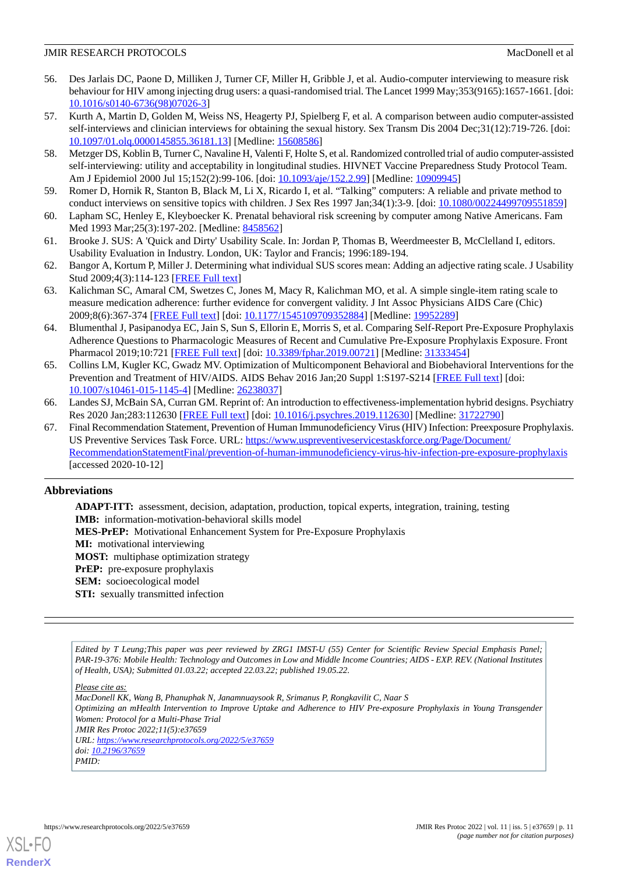- <span id="page-10-0"></span>56. Des Jarlais DC, Paone D, Milliken J, Turner CF, Miller H, Gribble J, et al. Audio-computer interviewing to measure risk behaviour for HIV among injecting drug users: a quasi-randomised trial. The Lancet 1999 May;353(9165):1657-1661. [doi: [10.1016/s0140-6736\(98\)07026-3](http://dx.doi.org/10.1016/s0140-6736(98)07026-3)]
- 57. Kurth A, Martin D, Golden M, Weiss NS, Heagerty PJ, Spielberg F, et al. A comparison between audio computer-assisted self-interviews and clinician interviews for obtaining the sexual history. Sex Transm Dis 2004 Dec;31(12):719-726. [doi: [10.1097/01.olq.0000145855.36181.13\]](http://dx.doi.org/10.1097/01.olq.0000145855.36181.13) [Medline: [15608586](http://www.ncbi.nlm.nih.gov/entrez/query.fcgi?cmd=Retrieve&db=PubMed&list_uids=15608586&dopt=Abstract)]
- <span id="page-10-1"></span>58. Metzger DS, Koblin B, Turner C, Navaline H, Valenti F, Holte S, et al. Randomized controlled trial of audio computer-assisted self-interviewing: utility and acceptability in longitudinal studies. HIVNET Vaccine Preparedness Study Protocol Team. Am J Epidemiol 2000 Jul 15;152(2):99-106. [doi: [10.1093/aje/152.2.99\]](http://dx.doi.org/10.1093/aje/152.2.99) [Medline: [10909945\]](http://www.ncbi.nlm.nih.gov/entrez/query.fcgi?cmd=Retrieve&db=PubMed&list_uids=10909945&dopt=Abstract)
- <span id="page-10-3"></span><span id="page-10-2"></span>59. Romer D, Hornik R, Stanton B, Black M, Li X, Ricardo I, et al. "Talking" computers: A reliable and private method to conduct interviews on sensitive topics with children. J Sex Res 1997 Jan;34(1):3-9. [doi: [10.1080/00224499709551859\]](http://dx.doi.org/10.1080/00224499709551859)
- <span id="page-10-4"></span>60. Lapham SC, Henley E, Kleyboecker K. Prenatal behavioral risk screening by computer among Native Americans. Fam Med 1993 Mar; 25(3): 197-202. [Medline: [8458562](http://www.ncbi.nlm.nih.gov/entrez/query.fcgi?cmd=Retrieve&db=PubMed&list_uids=8458562&dopt=Abstract)]
- <span id="page-10-5"></span>61. Brooke J. SUS: A 'Quick and Dirty' Usability Scale. In: Jordan P, Thomas B, Weerdmeester B, McClelland I, editors. Usability Evaluation in Industry. London, UK: Taylor and Francis; 1996:189-194.
- <span id="page-10-6"></span>62. Bangor A, Kortum P, Miller J. Determining what individual SUS scores mean: Adding an adjective rating scale. J Usability Stud 2009;4(3):114-123 [[FREE Full text](https://uxpajournal.org/wp-content/uploads/sites/7/pdf/JUS_Bangor_May2009.pdf)]
- <span id="page-10-7"></span>63. Kalichman SC, Amaral CM, Swetzes C, Jones M, Macy R, Kalichman MO, et al. A simple single-item rating scale to measure medication adherence: further evidence for convergent validity. J Int Assoc Physicians AIDS Care (Chic) 2009;8(6):367-374 [[FREE Full text](http://europepmc.org/abstract/MED/19952289)] [doi: [10.1177/1545109709352884\]](http://dx.doi.org/10.1177/1545109709352884) [Medline: [19952289\]](http://www.ncbi.nlm.nih.gov/entrez/query.fcgi?cmd=Retrieve&db=PubMed&list_uids=19952289&dopt=Abstract)
- <span id="page-10-8"></span>64. Blumenthal J, Pasipanodya EC, Jain S, Sun S, Ellorin E, Morris S, et al. Comparing Self-Report Pre-Exposure Prophylaxis Adherence Questions to Pharmacologic Measures of Recent and Cumulative Pre-Exposure Prophylaxis Exposure. Front Pharmacol 2019;10:721 [\[FREE Full text\]](https://doi.org/10.3389/fphar.2019.00721) [doi: [10.3389/fphar.2019.00721\]](http://dx.doi.org/10.3389/fphar.2019.00721) [Medline: [31333454](http://www.ncbi.nlm.nih.gov/entrez/query.fcgi?cmd=Retrieve&db=PubMed&list_uids=31333454&dopt=Abstract)]
- <span id="page-10-9"></span>65. Collins LM, Kugler KC, Gwadz MV. Optimization of Multicomponent Behavioral and Biobehavioral Interventions for the Prevention and Treatment of HIV/AIDS. AIDS Behav 2016 Jan;20 Suppl 1:S197-S214 [\[FREE Full text\]](http://europepmc.org/abstract/MED/26238037) [doi: [10.1007/s10461-015-1145-4\]](http://dx.doi.org/10.1007/s10461-015-1145-4) [Medline: [26238037](http://www.ncbi.nlm.nih.gov/entrez/query.fcgi?cmd=Retrieve&db=PubMed&list_uids=26238037&dopt=Abstract)]
- <span id="page-10-10"></span>66. Landes SJ, McBain SA, Curran GM. Reprint of: An introduction to effectiveness-implementation hybrid designs. Psychiatry Res 2020 Jan;283:112630 [\[FREE Full text\]](https://linkinghub.elsevier.com/retrieve/pii/S0165-1781(19)32168-7) [doi: [10.1016/j.psychres.2019.112630](http://dx.doi.org/10.1016/j.psychres.2019.112630)] [Medline: [31722790](http://www.ncbi.nlm.nih.gov/entrez/query.fcgi?cmd=Retrieve&db=PubMed&list_uids=31722790&dopt=Abstract)]
- 67. Final Recommendation Statement, Prevention of Human Immunodeficiency Virus (HIV) Infection: Preexposure Prophylaxis. US Preventive Services Task Force. URL: [https://www.uspreventiveservicestaskforce.org/Page/Document/](https://www.uspreventiveservicestaskforce.org/Page/Document/RecommendationStatementFinal/prevention-of-human-immunodeficiency-virus-hiv-infection-pre-exposure-prophylaxis) [RecommendationStatementFinal/prevention-of-human-immunodeficiency-virus-hiv-infection-pre-exposure-prophylaxis](https://www.uspreventiveservicestaskforce.org/Page/Document/RecommendationStatementFinal/prevention-of-human-immunodeficiency-virus-hiv-infection-pre-exposure-prophylaxis) [accessed 2020-10-12]

## **Abbreviations**

**ADAPT-ITT:** assessment, decision, adaptation, production, topical experts, integration, training, testing **IMB:** information-motivation-behavioral skills model **MES-PrEP:** Motivational Enhancement System for Pre-Exposure Prophylaxis **MI:** motivational interviewing **MOST:** multiphase optimization strategy **PrEP:** pre-exposure prophylaxis **SEM:** socioecological model **STI:** sexually transmitted infection

*Edited by T Leung;This paper was peer reviewed by ZRG1 IMST-U (55) Center for Scientific Review Special Emphasis Panel; PAR-19-376: Mobile Health: Technology and Outcomes in Low and Middle Income Countries; AIDS - EXP. REV. (National Institutes of Health, USA); Submitted 01.03.22; accepted 22.03.22; published 19.05.22.*

*Please cite as:*

*MacDonell KK, Wang B, Phanuphak N, Janamnuaysook R, Srimanus P, Rongkavilit C, Naar S Optimizing an mHealth Intervention to Improve Uptake and Adherence to HIV Pre-exposure Prophylaxis in Young Transgender Women: Protocol for a Multi-Phase Trial JMIR Res Protoc 2022;11(5):e37659 URL: <https://www.researchprotocols.org/2022/5/e37659> doi: [10.2196/37659](http://dx.doi.org/10.2196/37659) PMID:*